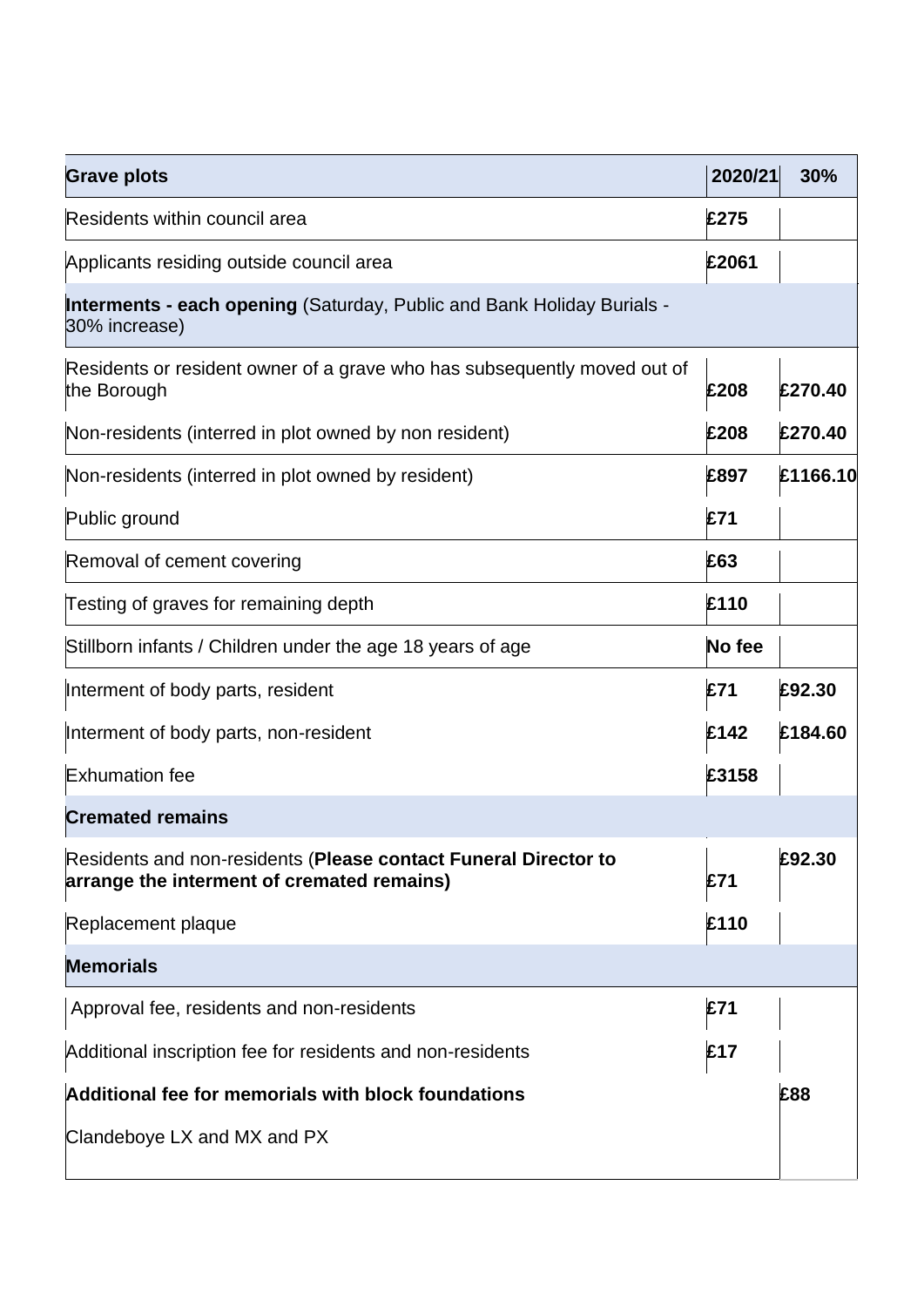| <b>Grave plots</b>                                                                                            | 2020/21 | 30%      |
|---------------------------------------------------------------------------------------------------------------|---------|----------|
| Residents within council area                                                                                 | £275    |          |
| Applicants residing outside council area                                                                      | £2061   |          |
| <b>Interments - each opening (Saturday, Public and Bank Holiday Burials -</b><br>30% increase)                |         |          |
| Residents or resident owner of a grave who has subsequently moved out of<br>the Borough                       | £208    | £270.40  |
| Non-residents (interred in plot owned by non resident)                                                        | £208    | £270.40  |
| Non-residents (interred in plot owned by resident)                                                            | £897    | £1166.10 |
| Public ground                                                                                                 | £71     |          |
| Removal of cement covering                                                                                    | £63     |          |
| Testing of graves for remaining depth                                                                         | £110    |          |
| Stillborn infants / Children under the age 18 years of age                                                    | No fee  |          |
| Interment of body parts, resident                                                                             | £71     | £92.30   |
| Interment of body parts, non-resident                                                                         | £142    | £184.60  |
| <b>Exhumation fee</b>                                                                                         | £3158   |          |
| <b>Cremated remains</b>                                                                                       |         |          |
| Residents and non-residents (Please contact Funeral Director to<br>arrange the interment of cremated remains) | £71     | £92.30   |
| Replacement plaque                                                                                            | £110    |          |
| <b>Memorials</b>                                                                                              |         |          |
| Approval fee, residents and non-residents                                                                     | £71     |          |
| Additional inscription fee for residents and non-residents                                                    | £17     |          |
| Additional fee for memorials with block foundations                                                           |         | £88      |
| Clandeboye LX and MX and PX                                                                                   |         |          |